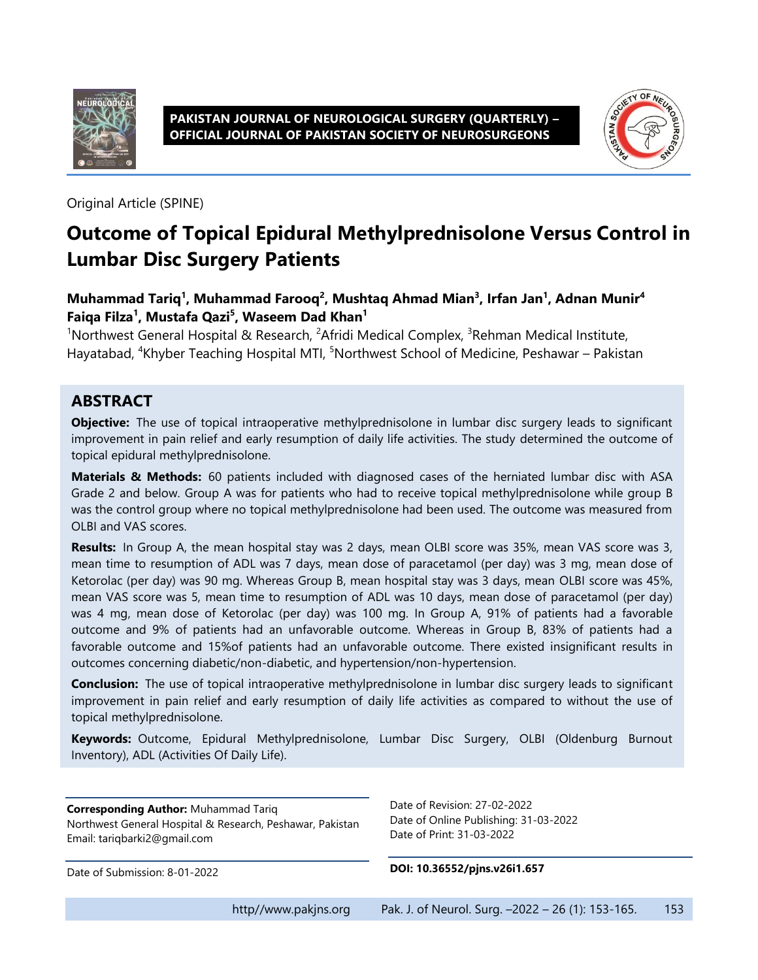

**PAKISTAN JOURNAL OF NEUROLOGICAL SURGERY (QUARTERLY) – OFFICIAL JOURNAL OF PAKISTAN SOCIETY OF NEUROSURGEONS**



Original Article (SPINE)

# **Outcome of Topical Epidural Methylprednisolone Versus Control in Lumbar Disc Surgery Patients**

**Muhammad Tariq<sup>1</sup> , Muhammad Farooq<sup>2</sup> , Mushtaq Ahmad Mian<sup>3</sup> , Irfan Jan<sup>1</sup> , Adnan Munir<sup>4</sup> Faiqa Filza<sup>1</sup> , Mustafa Qazi<sup>5</sup> , Waseem Dad Khan<sup>1</sup>**

<sup>1</sup>Northwest General Hospital & Research, <sup>2</sup>Afridi Medical Complex, <sup>3</sup>Rehman Medical Institute, Hayatabad, <sup>4</sup>Khyber Teaching Hospital MTI, <sup>5</sup>Northwest School of Medicine, Peshawar – Pakistan

#### **ABSTRACT**

**Objective:** The use of topical intraoperative methylprednisolone in lumbar disc surgery leads to significant improvement in pain relief and early resumption of daily life activities. The study determined the outcome of topical epidural methylprednisolone.

**Materials & Methods:** 60 patients included with diagnosed cases of the herniated lumbar disc with ASA Grade 2 and below. Group A was for patients who had to receive topical methylprednisolone while group B was the control group where no topical methylprednisolone had been used. The outcome was measured from OLBI and VAS scores.

**Results:** In Group A, the mean hospital stay was 2 days, mean OLBI score was 35%, mean VAS score was 3, mean time to resumption of ADL was 7 days, mean dose of paracetamol (per day) was 3 mg, mean dose of Ketorolac (per day) was 90 mg. Whereas Group B, mean hospital stay was 3 days, mean OLBI score was 45%, mean VAS score was 5, mean time to resumption of ADL was 10 days, mean dose of paracetamol (per day) was 4 mg, mean dose of Ketorolac (per day) was 100 mg. In Group A, 91% of patients had a favorable outcome and 9% of patients had an unfavorable outcome. Whereas in Group B, 83% of patients had a favorable outcome and 15%of patients had an unfavorable outcome. There existed insignificant results in outcomes concerning diabetic/non-diabetic, and hypertension/non-hypertension.

**Conclusion:** The use of topical intraoperative methylprednisolone in lumbar disc surgery leads to significant improvement in pain relief and early resumption of daily life activities as compared to without the use of topical methylprednisolone.

**Keywords:** Outcome, Epidural Methylprednisolone, Lumbar Disc Surgery, OLBI (Oldenburg Burnout Inventory), ADL (Activities Of Daily Life).

**Corresponding Author:** Muhammad Tariq Northwest General Hospital & Research, Peshawar, Pakistan Email: tariqbarki2@gmail.com

Date of Revision: 27-02-2022 Date of Online Publishing: 31-03-2022 Date of Print: 31-03-2022

Date of Submission: 8-01-2022

**DOI: 10.36552/pjns.v26i1.657**

http//www.pakjns.org Pak. J. of Neurol. Surg. -2022 - 26 (1): 153-165. 153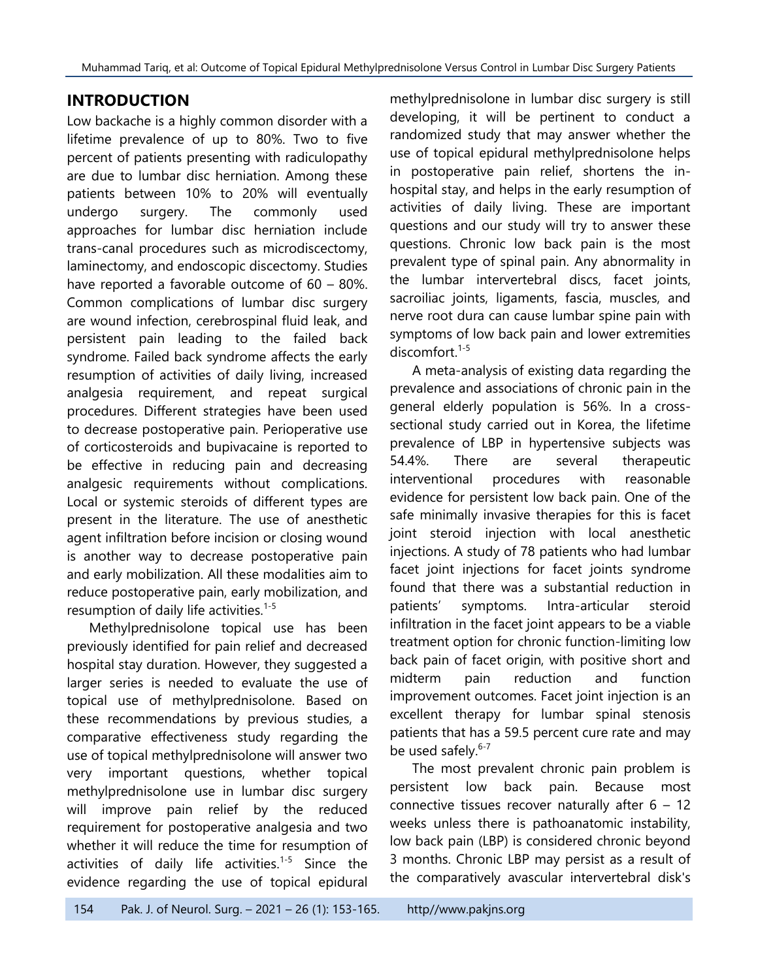#### **INTRODUCTION**

Low backache is a highly common disorder with a lifetime prevalence of up to 80%. Two to five percent of patients presenting with radiculopathy are due to lumbar disc herniation. Among these patients between 10% to 20% will eventually undergo surgery. The commonly used approaches for lumbar disc herniation include trans-canal procedures such as microdiscectomy, laminectomy, and endoscopic discectomy. Studies have reported a favorable outcome of 60 – 80%. Common complications of lumbar disc surgery are wound infection, cerebrospinal fluid leak, and persistent pain leading to the failed back syndrome. Failed back syndrome affects the early resumption of activities of daily living, increased analgesia requirement, and repeat surgical procedures. Different strategies have been used to decrease postoperative pain. Perioperative use of corticosteroids and bupivacaine is reported to be effective in reducing pain and decreasing analgesic requirements without complications. Local or systemic steroids of different types are present in the literature. The use of anesthetic agent infiltration before incision or closing wound is another way to decrease postoperative pain and early mobilization. All these modalities aim to reduce postoperative pain, early mobilization, and resumption of daily life activities.<sup>1-5</sup>

Methylprednisolone topical use has been previously identified for pain relief and decreased hospital stay duration. However, they suggested a larger series is needed to evaluate the use of topical use of methylprednisolone. Based on these recommendations by previous studies, a comparative effectiveness study regarding the use of topical methylprednisolone will answer two very important questions, whether topical methylprednisolone use in lumbar disc surgery will improve pain relief by the reduced requirement for postoperative analgesia and two whether it will reduce the time for resumption of activities of daily life activities.<sup>1-5</sup> Since the evidence regarding the use of topical epidural

methylprednisolone in lumbar disc surgery is still developing, it will be pertinent to conduct a randomized study that may answer whether the use of topical epidural methylprednisolone helps in postoperative pain relief, shortens the inhospital stay, and helps in the early resumption of activities of daily living. These are important questions and our study will try to answer these questions. Chronic low back pain is the most prevalent type of spinal pain. Any abnormality in the lumbar intervertebral discs, facet joints, sacroiliac joints, ligaments, fascia, muscles, and nerve root dura can cause lumbar spine pain with symptoms of low back pain and lower extremities discomfort. 1-5

A meta-analysis of existing data regarding the prevalence and associations of chronic pain in the general elderly population is 56%. In a crosssectional study carried out in Korea, the lifetime prevalence of LBP in hypertensive subjects was 54.4%. There are several therapeutic interventional procedures with reasonable evidence for persistent low back pain. One of the safe minimally invasive therapies for this is facet joint steroid injection with local anesthetic injections. A study of 78 patients who had lumbar facet joint injections for facet joints syndrome found that there was a substantial reduction in patients' symptoms. Intra-articular steroid infiltration in the facet joint appears to be a viable treatment option for chronic function-limiting low back pain of facet origin, with positive short and midterm pain reduction and function improvement outcomes. Facet joint injection is an excellent therapy for lumbar spinal stenosis patients that has a 59.5 percent cure rate and may be used safely.<sup>6-7</sup>

The most prevalent chronic pain problem is persistent low back pain. Because most connective tissues recover naturally after  $6 - 12$ weeks unless there is pathoanatomic instability, low back pain (LBP) is considered chronic beyond 3 months. Chronic LBP may persist as a result of the comparatively avascular intervertebral disk's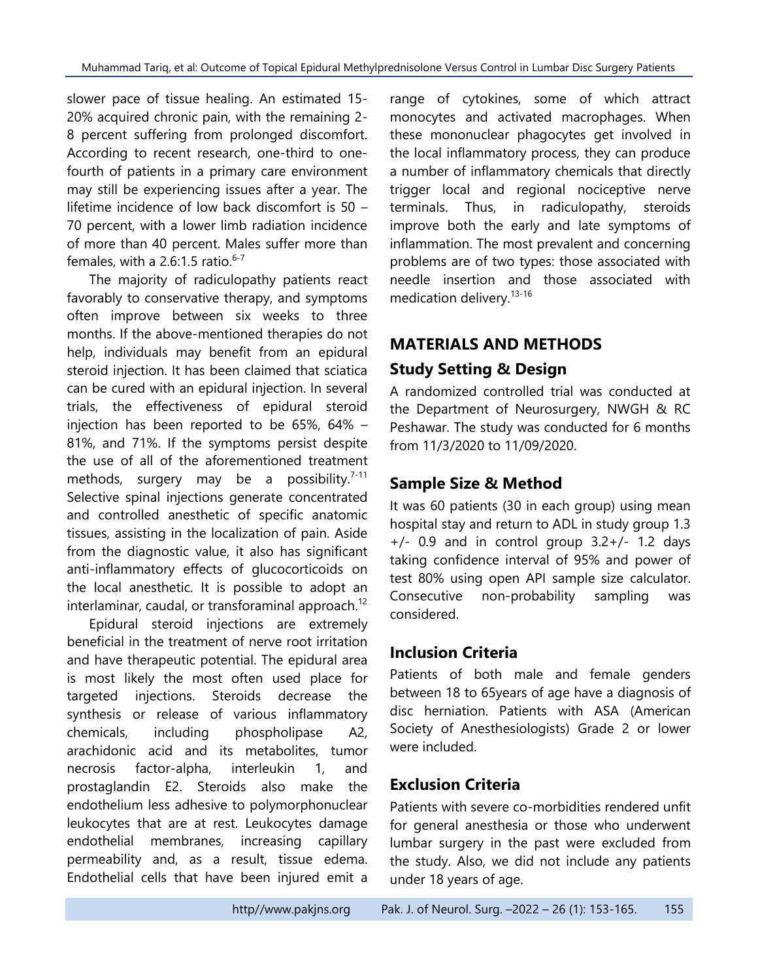slower pace of tissue healing. An estimated 15- 20% acquired chronic pain, with the remaining 2- 8 percent suffering from prolonged discomfort. According to recent research, one-third to onefourth of patients in a primary care environment may still be experiencing issues after a year. The lifetime incidence of low back discomfort is 50 – 70 percent, with a lower limb radiation incidence of more than 40 percent. Males suffer more than females, with a 2.6:1.5 ratio. $6-7$ 

The majority of radiculopathy patients react favorably to conservative therapy, and symptoms often improve between six weeks to three months. If the above-mentioned therapies do not help, individuals may benefit from an epidural steroid injection. It has been claimed that sciatica can be cured with an epidural injection. In several trials, the effectiveness of epidural steroid injection has been reported to be 65%, 64% – 81%, and 71%. If the symptoms persist despite the use of all of the aforementioned treatment methods, surgery may be a possibility.<sup>7-11</sup> Selective spinal injections generate concentrated and controlled anesthetic of specific anatomic tissues, assisting in the localization of pain. Aside from the diagnostic value, it also has significant anti-inflammatory effects of glucocorticoids on the local anesthetic. It is possible to adopt an interlaminar, caudal, or transforaminal approach.<sup>12</sup>

Epidural steroid injections are extremely beneficial in the treatment of nerve root irritation and have therapeutic potential. The epidural area is most likely the most often used place for targeted injections. Steroids decrease the synthesis or release of various inflammatory chemicals, including phospholipase A2, arachidonic acid and its metabolites, tumor necrosis factor-alpha, interleukin 1, and prostaglandin E2. Steroids also make the endothelium less adhesive to polymorphonuclear leukocytes that are at rest. Leukocytes damage endothelial membranes, increasing capillary permeability and, as a result, tissue edema. Endothelial cells that have been injured emit a

range of cytokines, some of which attract monocytes and activated macrophages. When these mononuclear phagocytes get involved in the local inflammatory process, they can produce a number of inflammatory chemicals that directly trigger local and regional nociceptive nerve terminals. Thus, in radiculopathy, steroids improve both the early and late symptoms of inflammation. The most prevalent and concerning problems are of two types: those associated with needle insertion and those associated with medication delivery.13-16

# **MATERIALS AND METHODS Study Setting & Design**

A randomized controlled trial was conducted at the Department of Neurosurgery, NWGH & RC Peshawar. The study was conducted for 6 months from 11/3/2020 to 11/09/2020.

## **Sample Size & Method**

It was 60 patients (30 in each group) using mean hospital stay and return to ADL in study group 1.3  $+/-$  0.9 and in control group 3.2 $+/-$  1.2 days taking confidence interval of 95% and power of test 80% using open API sample size calculator. Consecutive non-probability sampling was considered.

### **Inclusion Criteria**

Patients of both male and female genders between 18 to 65years of age have a diagnosis of disc herniation. Patients with ASA (American Society of Anesthesiologists) Grade 2 or lower were included.

## **Exclusion Criteria**

Patients with severe co-morbidities rendered unfit for general anesthesia or those who underwent lumbar surgery in the past were excluded from the study. Also, we did not include any patients under 18 years of age.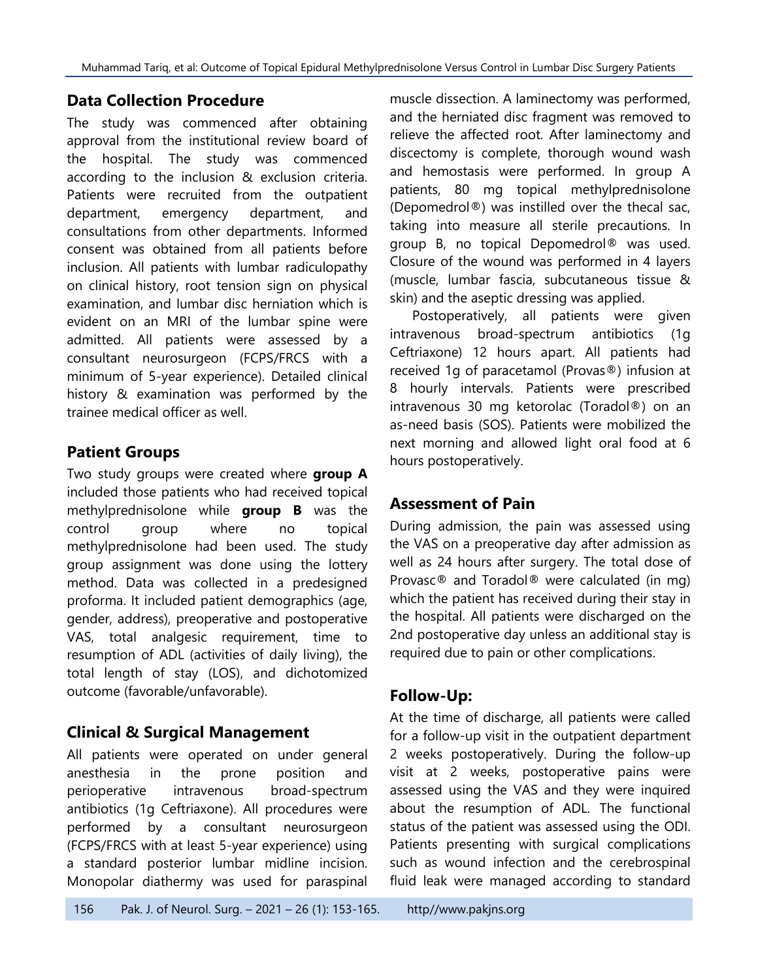### **Data Collection Procedure**

The study was commenced after obtaining approval from the institutional review board of the hospital. The study was commenced according to the inclusion & exclusion criteria. Patients were recruited from the outpatient department, emergency department, and consultations from other departments. Informed consent was obtained from all patients before inclusion. All patients with lumbar radiculopathy on clinical history, root tension sign on physical examination, and lumbar disc herniation which is evident on an MRI of the lumbar spine were admitted. All patients were assessed by a consultant neurosurgeon (FCPS/FRCS with a minimum of 5-year experience). Detailed clinical history & examination was performed by the trainee medical officer as well.

## **Patient Groups**

Two study groups were created where **group A**  included those patients who had received topical methylprednisolone while **group B** was the control group where no topical methylprednisolone had been used. The study group assignment was done using the lottery method. Data was collected in a predesigned proforma. It included patient demographics (age, gender, address), preoperative and postoperative VAS, total analgesic requirement, time to resumption of ADL (activities of daily living), the total length of stay (LOS), and dichotomized outcome (favorable/unfavorable).

### **Clinical & Surgical Management**

All patients were operated on under general anesthesia in the prone position and perioperative intravenous broad-spectrum antibiotics (1g Ceftriaxone). All procedures were performed by a consultant neurosurgeon (FCPS/FRCS with at least 5-year experience) using a standard posterior lumbar midline incision. Monopolar diathermy was used for paraspinal muscle dissection. A laminectomy was performed, and the herniated disc fragment was removed to relieve the affected root. After laminectomy and discectomy is complete, thorough wound wash and hemostasis were performed. In group A patients, 80 mg topical methylprednisolone (Depomedrol®) was instilled over the thecal sac, taking into measure all sterile precautions. In group B, no topical Depomedrol® was used. Closure of the wound was performed in 4 layers (muscle, lumbar fascia, subcutaneous tissue & skin) and the aseptic dressing was applied.

Postoperatively, all patients were given intravenous broad-spectrum antibiotics (1g Ceftriaxone) 12 hours apart. All patients had received 1g of paracetamol (Provas®) infusion at 8 hourly intervals. Patients were prescribed intravenous 30 mg ketorolac (Toradol®) on an as-need basis (SOS). Patients were mobilized the next morning and allowed light oral food at 6 hours postoperatively.

### **Assessment of Pain**

During admission, the pain was assessed using the VAS on a preoperative day after admission as well as 24 hours after surgery. The total dose of Provasc® and Toradol® were calculated (in mg) which the patient has received during their stay in the hospital. All patients were discharged on the 2nd postoperative day unless an additional stay is required due to pain or other complications.

### **Follow-Up:**

At the time of discharge, all patients were called for a follow-up visit in the outpatient department 2 weeks postoperatively. During the follow-up visit at 2 weeks, postoperative pains were assessed using the VAS and they were inquired about the resumption of ADL. The functional status of the patient was assessed using the ODI. Patients presenting with surgical complications such as wound infection and the cerebrospinal fluid leak were managed according to standard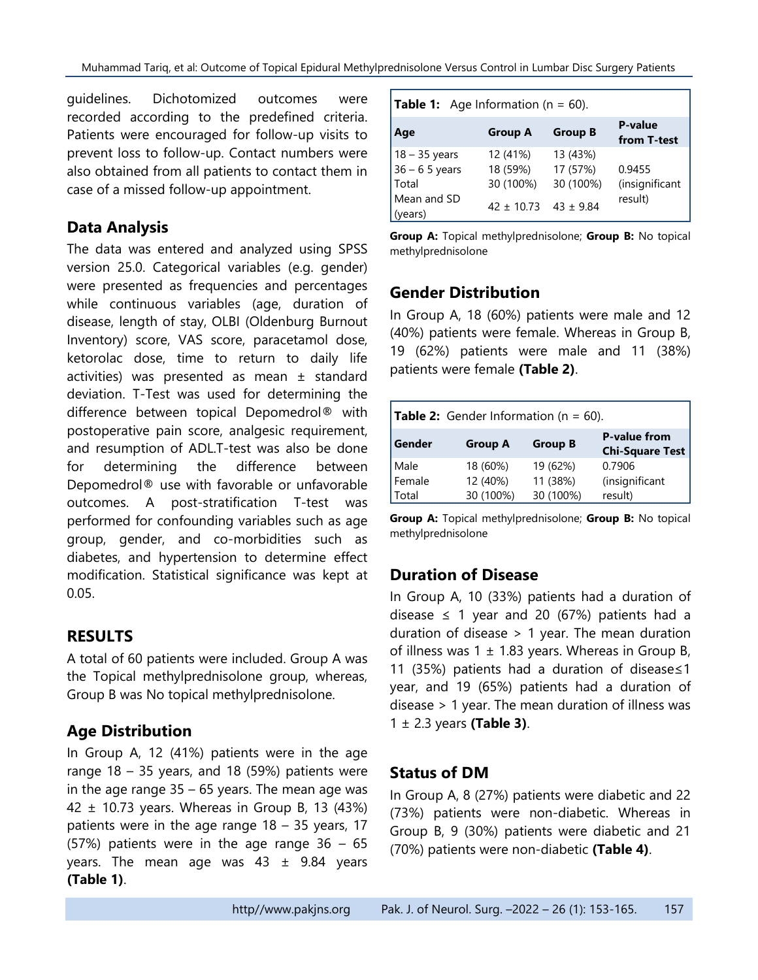guidelines. Dichotomized outcomes were recorded according to the predefined criteria. Patients were encouraged for follow-up visits to prevent loss to follow-up. Contact numbers were also obtained from all patients to contact them in case of a missed follow-up appointment.

### **Data Analysis**

The data was entered and analyzed using SPSS version 25.0. Categorical variables (e.g. gender) were presented as frequencies and percentages while continuous variables (age, duration of disease, length of stay, OLBI (Oldenburg Burnout Inventory) score, VAS score, paracetamol dose, ketorolac dose, time to return to daily life activities) was presented as mean ± standard deviation. T-Test was used for determining the difference between topical Depomedrol® with postoperative pain score, analgesic requirement, and resumption of ADL.T-test was also be done for determining the difference between Depomedrol® use with favorable or unfavorable outcomes. A post-stratification T-test was performed for confounding variables such as age group, gender, and co-morbidities such as diabetes, and hypertension to determine effect modification. Statistical significance was kept at 0.05.

### **RESULTS**

A total of 60 patients were included. Group A was the Topical methylprednisolone group, whereas, Group B was No topical methylprednisolone.

#### **Age Distribution**

In Group A, 12 (41%) patients were in the age range  $18 - 35$  years, and 18 (59%) patients were in the age range  $35 - 65$  years. The mean age was 42  $\pm$  10.73 years. Whereas in Group B, 13 (43%) patients were in the age range  $18 - 35$  years, 17 (57%) patients were in the age range  $36 - 65$ years. The mean age was  $43 \pm 9.84$  years **(Table 1)**.

| Age                    | <b>Group A</b>               | <b>Group B</b> | P-value<br>from T-test |
|------------------------|------------------------------|----------------|------------------------|
| $18 - 35$ years        | 12 (41%)                     | 13 (43%)       |                        |
| $36 - 65$ years        | 18 (59%)                     | 17 (57%)       | 0.9455                 |
| Total                  | 30 (100%)                    | 30 (100%)      | (insignificant         |
| Mean and SD<br>(years) | $42 \pm 10.73$ $43 \pm 9.84$ |                | result)                |

**Group A:** Topical methylprednisolone; **Group B:** No topical methylprednisolone

#### **Gender Distribution**

In Group A, 18 (60%) patients were male and 12 (40%) patients were female. Whereas in Group B, 19 (62%) patients were male and 11 (38%) patients were female **(Table 2)**.

| <b>Table 2:</b> Gender Information ( $n = 60$ ).                                            |           |           |                |  |
|---------------------------------------------------------------------------------------------|-----------|-----------|----------------|--|
| <b>P-value from</b><br>Gender<br><b>Group B</b><br><b>Group A</b><br><b>Chi-Square Test</b> |           |           |                |  |
| Male                                                                                        | 18 (60%)  | 19 (62%)  | 0.7906         |  |
| Female                                                                                      | 12 (40%)  | 11 (38%)  | (insignificant |  |
| Total                                                                                       | 30 (100%) | 30 (100%) | result)        |  |

**Group A:** Topical methylprednisolone; **Group B:** No topical methylprednisolone

#### **Duration of Disease**

In Group A, 10 (33%) patients had a duration of disease  $\leq$  1 year and 20 (67%) patients had a duration of disease > 1 year. The mean duration of illness was  $1 \pm 1.83$  years. Whereas in Group B, 11 (35%) patients had a duration of disease≤1 year, and 19 (65%) patients had a duration of disease > 1 year. The mean duration of illness was 1 ± 2.3 years **(Table 3)**.

#### **Status of DM**

In Group A, 8 (27%) patients were diabetic and 22 (73%) patients were non-diabetic. Whereas in Group B, 9 (30%) patients were diabetic and 21 (70%) patients were non-diabetic **(Table 4)**.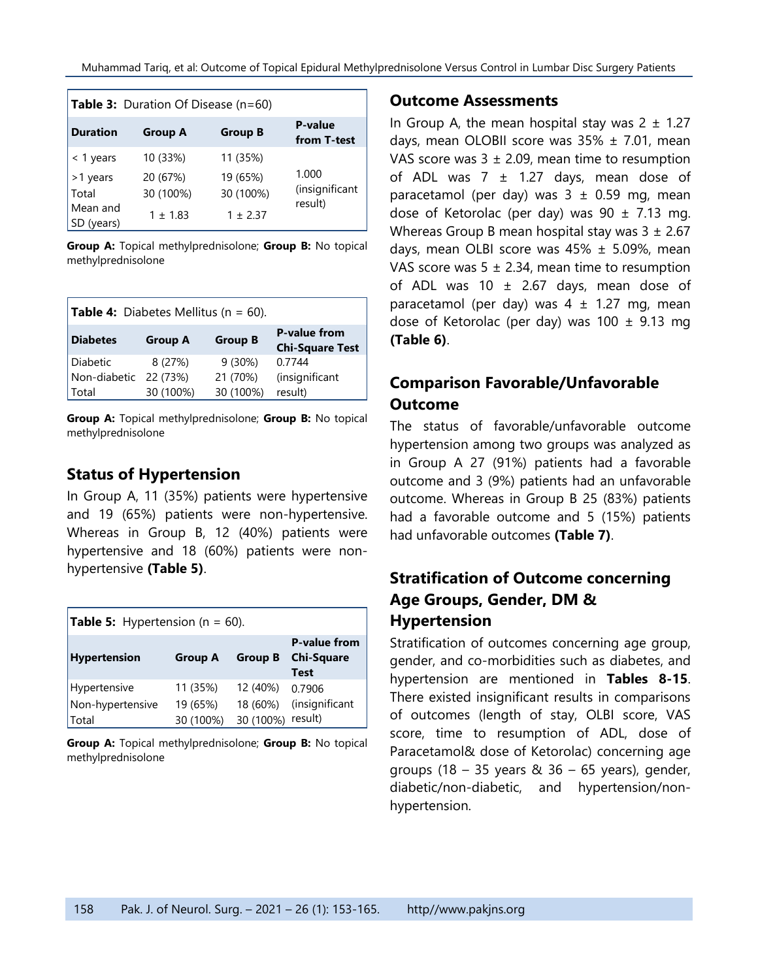|                                                       | <b>Table 3:</b> Duration Of Disease (n=60)        |                                                   |                                    |
|-------------------------------------------------------|---------------------------------------------------|---------------------------------------------------|------------------------------------|
| <b>Duration</b>                                       | <b>Group A</b>                                    | <b>Group B</b>                                    | <b>P-value</b><br>from T-test      |
| < 1 years<br>>1 years<br>Total<br>Mean and<br>(years) | 10 (33%)<br>20 (67%)<br>30 (100%)<br>$1 \pm 1.83$ | 11 (35%)<br>19 (65%)<br>30 (100%)<br>$1 \pm 2.37$ | 1.000<br>(insignificant<br>result) |

**Group A:** Topical methylprednisolone; **Group B:** No topical methylprednisolone

| <b>Table 4:</b> Diabetes Mellitus ( $n = 60$ ).                                                      |           |           |                |  |
|------------------------------------------------------------------------------------------------------|-----------|-----------|----------------|--|
| <b>P-value from</b><br><b>Diabetes</b><br><b>Group B</b><br><b>Group A</b><br><b>Chi-Square Test</b> |           |           |                |  |
| Diabetic                                                                                             | 8(27%)    | 9(30%)    | 0.7744         |  |
| Non-diabetic                                                                                         | 22 (73%)  | 21 (70%)  | (insignificant |  |
| Total                                                                                                | 30 (100%) | 30 (100%) | result)        |  |

**Group A:** Topical methylprednisolone; **Group B:** No topical methylprednisolone

## **Status of Hypertension**

In Group A, 11 (35%) patients were hypertensive and 19 (65%) patients were non-hypertensive. Whereas in Group B, 12 (40%) patients were hypertensive and 18 (60%) patients were nonhypertensive **(Table 5)**.

| <b>Table 5:</b> Hypertension ( $n = 60$ ). |                       |                       |                                                         |  |
|--------------------------------------------|-----------------------|-----------------------|---------------------------------------------------------|--|
| Hypertension                               | <b>Group A</b>        | <b>Group B</b>        | <b>P-value from</b><br><b>Chi-Square</b><br><b>Test</b> |  |
| Hypertensive                               | 11 (35%)              | 12 (40%)              | 0.7906                                                  |  |
| Non-hypertensive<br><b>Total</b>           | 19 (65%)<br>30 (100%) | 18 (60%)<br>30 (100%) | (insignificant<br>result)                               |  |

**Group A:** Topical methylprednisolone; **Group B:** No topical methylprednisolone

#### **Outcome Assessments**

In Group A, the mean hospital stay was  $2 \pm 1.27$ days, mean OLOBII score was  $35\% \pm 7.01$ , mean VAS score was  $3 \pm 2.09$ , mean time to resumption of ADL was  $7 \pm 1.27$  days, mean dose of paracetamol (per day) was  $3 \pm 0.59$  mg, mean dose of Ketorolac (per day) was  $90 \pm 7.13$  mg. Whereas Group B mean hospital stay was  $3 \pm 2.67$ days, mean OLBI score was  $45\% \pm 5.09\%$ , mean VAS score was  $5 \pm 2.34$ , mean time to resumption of ADL was 10  $\pm$  2.67 days, mean dose of paracetamol (per day) was  $4 \pm 1.27$  mg, mean dose of Ketorolac (per day) was  $100 \pm 9.13$  mg **(Table 6)**.

## **Comparison Favorable/Unfavorable Outcome**

The status of favorable/unfavorable outcome hypertension among two groups was analyzed as in Group A 27 (91%) patients had a favorable outcome and 3 (9%) patients had an unfavorable outcome. Whereas in Group B 25 (83%) patients had a favorable outcome and 5 (15%) patients had unfavorable outcomes **(Table 7)**.

## **Stratification of Outcome concerning Age Groups, Gender, DM & Hypertension**

Stratification of outcomes concerning age group, gender, and co-morbidities such as diabetes, and hypertension are mentioned in **Tables 8-15**. There existed insignificant results in comparisons of outcomes (length of stay, OLBI score, VAS score, time to resumption of ADL, dose of Paracetamol& dose of Ketorolac) concerning age groups (18 – 35 years  $& 36 - 65$  years), gender, diabetic/non-diabetic, and hypertension/nonhypertension.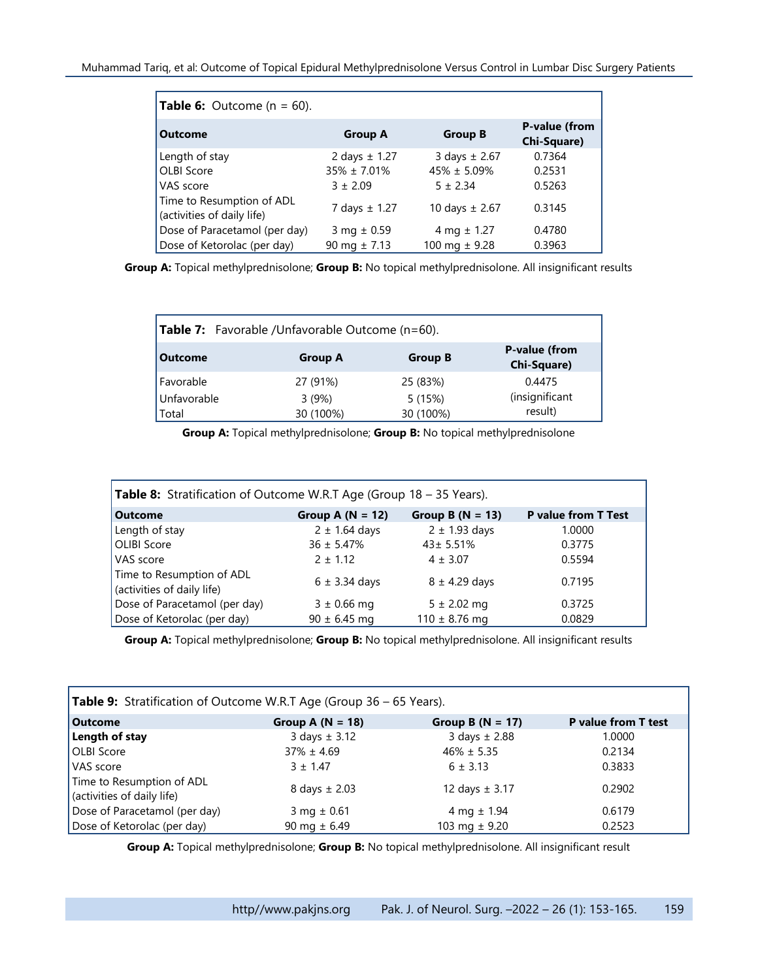| <b>Table 6:</b> Outcome (n = 60).                       |                   |                    |                              |
|---------------------------------------------------------|-------------------|--------------------|------------------------------|
| <b>Outcome</b>                                          | <b>Group A</b>    | <b>Group B</b>     | P-value (from<br>Chi-Square) |
| Length of stay                                          | 2 days $\pm$ 1.27 | 3 days $\pm 2.67$  | 0.7364                       |
| <b>OLBI Score</b>                                       | $35\% \pm 7.01\%$ | $45\% \pm 5.09\%$  | 0.2531                       |
| VAS score                                               | $3 + 2.09$        | $5 \pm 2.34$       | 0.5263                       |
| Time to Resumption of ADL<br>(activities of daily life) | 7 days $\pm$ 1.27 | 10 days $\pm 2.67$ | 0.3145                       |
| Dose of Paracetamol (per day)                           | 3 mg $\pm$ 0.59   | 4 mg $\pm$ 1.27    | 0.4780                       |
| Dose of Ketorolac (per day)                             | 90 mg $\pm 7.13$  | 100 mg $\pm$ 9.28  | 0.3963                       |

**Group A:** Topical methylprednisolone; **Group B:** No topical methylprednisolone. All insignificant results

| <b>Table 7:</b> Favorable / Unfavorable Outcome ( $n=60$ ). |                    |                     |                                     |  |
|-------------------------------------------------------------|--------------------|---------------------|-------------------------------------|--|
| <b>Outcome</b>                                              | <b>Group A</b>     | <b>Group B</b>      | <b>P-value (from</b><br>Chi-Square) |  |
| Favorable                                                   | 27 (91%)           | 25 (83%)            | 0.4475                              |  |
| Unfavorable<br>Total                                        | 3(9%)<br>30 (100%) | 5(15%)<br>30 (100%) | (insignificant<br>result)           |  |

**Group A:** Topical methylprednisolone; **Group B:** No topical methylprednisolone

| <b>Table 8:</b> Stratification of Outcome W.R.T Age (Group 18 – 35 Years). |                    |                    |                            |  |
|----------------------------------------------------------------------------|--------------------|--------------------|----------------------------|--|
| <b>Outcome</b>                                                             | Group A $(N = 12)$ | Group B $(N = 13)$ | <b>P</b> value from T Test |  |
| Length of stay                                                             | $2 \pm 1.64$ days  | $2 \pm 1.93$ days  | 1.0000                     |  |
| <b>OLIBI Score</b>                                                         | $36 \pm 5.47\%$    | $43 \pm 5.51\%$    | 0.3775                     |  |
| VAS score                                                                  | $2 \pm 1.12$       | $4 \pm 3.07$       | 0.5594                     |  |
| Time to Resumption of ADL<br>(activities of daily life)                    | $6 \pm 3.34$ days  | $8 \pm 4.29$ days  | 0.7195                     |  |
| Dose of Paracetamol (per day)                                              | $3 \pm 0.66$ mg    | $5 \pm 2.02$ mg    | 0.3725                     |  |
| Dose of Ketorolac (per day)                                                | $90 \pm 6.45$ mg   | $110 \pm 8.76$ mg  | 0.0829                     |  |

**Group A:** Topical methylprednisolone; **Group B:** No topical methylprednisolone. All insignificant results

| <b>Table 9:</b> Stratification of Outcome W.R.T Age (Group 36 – 65 Years). |                           |                      |                            |  |
|----------------------------------------------------------------------------|---------------------------|----------------------|----------------------------|--|
| <b>Outcome</b>                                                             | Group A $(N = 18)$        | Group B ( $N = 17$ ) | <b>P</b> value from T test |  |
| Length of stay                                                             | $3 \text{ days} \pm 3.12$ | 3 days $\pm$ 2.88    | 1.0000                     |  |
| <b>OLBI Score</b>                                                          | $37\% \pm 4.69$           | $46\% \pm 5.35$      | 0.2134                     |  |
| VAS score                                                                  | $3 + 1.47$                | $6 \pm 3.13$         | 0.3833                     |  |
| Time to Resumption of ADL<br>(activities of daily life)                    | 8 days $\pm 2.03$         | 12 days $\pm$ 3.17   | 0.2902                     |  |
| Dose of Paracetamol (per day)                                              | 3 mg $\pm$ 0.61           | 4 mg $\pm$ 1.94      | 0.6179                     |  |
| Dose of Ketorolac (per day)                                                | 90 mg $\pm$ 6.49          | 103 mg $\pm$ 9.20    | 0.2523                     |  |

**Group A:** Topical methylprednisolone; **Group B:** No topical methylprednisolone. All insignificant result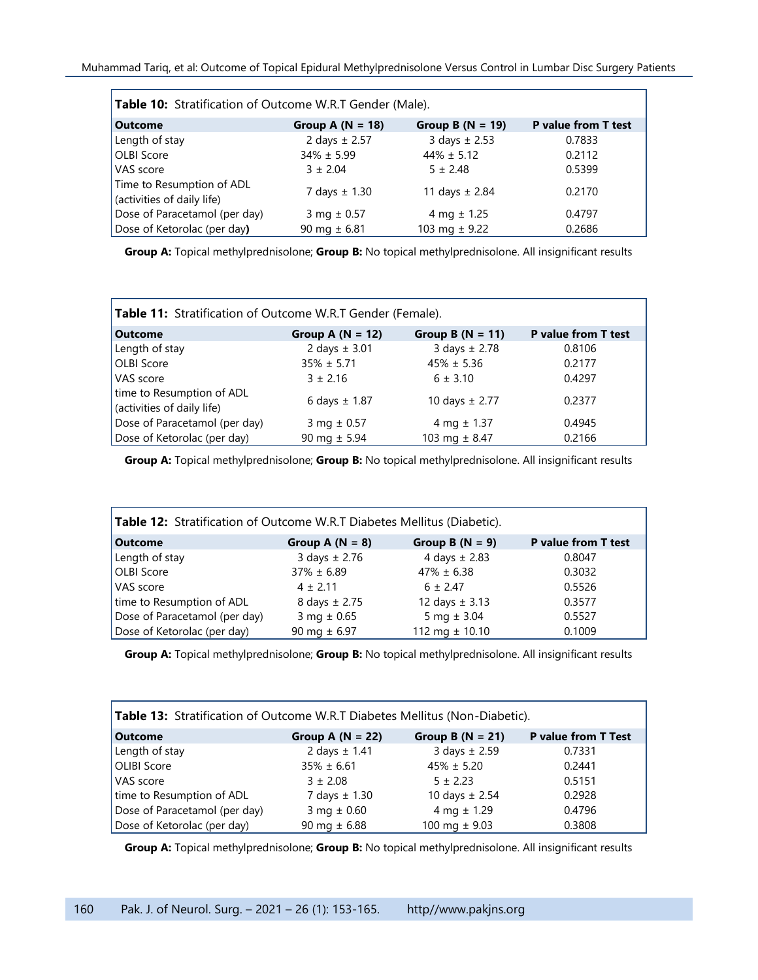| Table 10: Stratification of Outcome W.R.T Gender (Male). |                    |                    |                            |  |
|----------------------------------------------------------|--------------------|--------------------|----------------------------|--|
| <b>Outcome</b>                                           | Group A $(N = 18)$ | Group B $(N = 19)$ | <b>P</b> value from T test |  |
| Length of stay                                           | 2 days $\pm 2.57$  | 3 days $\pm 2.53$  | 0.7833                     |  |
| <b>OLBI</b> Score                                        | $34\% \pm 5.99$    | $44\% \pm 5.12$    | 0.2112                     |  |
| VAS score                                                | $3 \pm 2.04$       | $5 \pm 2.48$       | 0.5399                     |  |
| Time to Resumption of ADL<br>(activities of daily life)  | 7 days $\pm$ 1.30  | 11 days $\pm 2.84$ | 0.2170                     |  |
| Dose of Paracetamol (per day)                            | 3 mg $\pm$ 0.57    | 4 mg $\pm$ 1.25    | 0.4797                     |  |
| Dose of Ketorolac (per day)                              | 90 mg $\pm$ 6.81   | 103 mg $\pm$ 9.22  | 0.2686                     |  |

**Group A:** Topical methylprednisolone; **Group B:** No topical methylprednisolone. All insignificant results

| Table 11: Stratification of Outcome W.R.T Gender (Female). |                    |                    |                     |  |
|------------------------------------------------------------|--------------------|--------------------|---------------------|--|
| <b>Outcome</b>                                             | Group A $(N = 12)$ | Group B $(N = 11)$ | P value from T test |  |
| Length of stay                                             | 2 days $\pm$ 3.01  | 3 days $\pm 2.78$  | 0.8106              |  |
| <b>OLBI</b> Score                                          | $35\% \pm 5.71$    | $45\% \pm 5.36$    | 0.2177              |  |
| VAS score                                                  | $3 + 2.16$         | $6 \pm 3.10$       | 0.4297              |  |
| time to Resumption of ADL<br>(activities of daily life)    | 6 days $\pm$ 1.87  | 10 days $\pm 2.77$ | 0.2377              |  |
| Dose of Paracetamol (per day)                              | 3 mg $\pm$ 0.57    | 4 mg $\pm$ 1.37    | 0.4945              |  |
| Dose of Ketorolac (per day)                                | 90 mg $\pm$ 5.94   | 103 mg $\pm$ 8.47  | 0.2166              |  |

**Group A:** Topical methylprednisolone; **Group B:** No topical methylprednisolone. All insignificant results

| Table 12: Stratification of Outcome W.R.T Diabetes Mellitus (Diabetic). |                           |                    |                     |
|-------------------------------------------------------------------------|---------------------------|--------------------|---------------------|
| Outcome                                                                 | Group A $(N = 8)$         | Group B $(N = 9)$  | P value from T test |
| Length of stay                                                          | $3 \text{ days} \pm 2.76$ | 4 days $\pm$ 2.83  | 0.8047              |
| <b>OLBI</b> Score                                                       | $37\% \pm 6.89$           | $47\% \pm 6.38$    | 0.3032              |
| VAS score                                                               | $4 + 2.11$                | $6 \pm 2.47$       | 0.5526              |
| time to Resumption of ADL                                               | 8 days $\pm 2.75$         | 12 days $\pm$ 3.13 | 0.3577              |
| Dose of Paracetamol (per day)                                           | 3 mg $\pm$ 0.65           | 5 mg $\pm$ 3.04    | 0.5527              |
| Dose of Ketorolac (per day)                                             | 90 mg $\pm$ 6.97          | 112 mg $\pm$ 10.10 | 0.1009              |

**Group A:** Topical methylprednisolone; **Group B:** No topical methylprednisolone. All insignificant results

| Table 13: Stratification of Outcome W.R.T Diabetes Mellitus (Non-Diabetic). |                    |                     |                            |
|-----------------------------------------------------------------------------|--------------------|---------------------|----------------------------|
| <b>Outcome</b>                                                              | Group A $(N = 22)$ | Group B $(N = 21)$  | <b>P</b> value from T Test |
| Length of stay                                                              | 2 days $\pm$ 1.41  | $3$ days $\pm 2.59$ | 0.7331                     |
| <b>OLIBI</b> Score                                                          | $35\% \pm 6.61$    | $45\% \pm 5.20$     | 0.2441                     |
| VAS score                                                                   | $3 \pm 2.08$       | $5 \pm 2.23$        | 0.5151                     |
| time to Resumption of ADL                                                   | 7 days $\pm$ 1.30  | 10 days $\pm 2.54$  | 0.2928                     |
| Dose of Paracetamol (per day)                                               | 3 mg $\pm$ 0.60    | 4 mg $\pm$ 1.29     | 0.4796                     |
| Dose of Ketorolac (per day)                                                 | 90 mg $\pm$ 6.88   | 100 mg $\pm$ 9.03   | 0.3808                     |

**Group A:** Topical methylprednisolone; **Group B:** No topical methylprednisolone. All insignificant results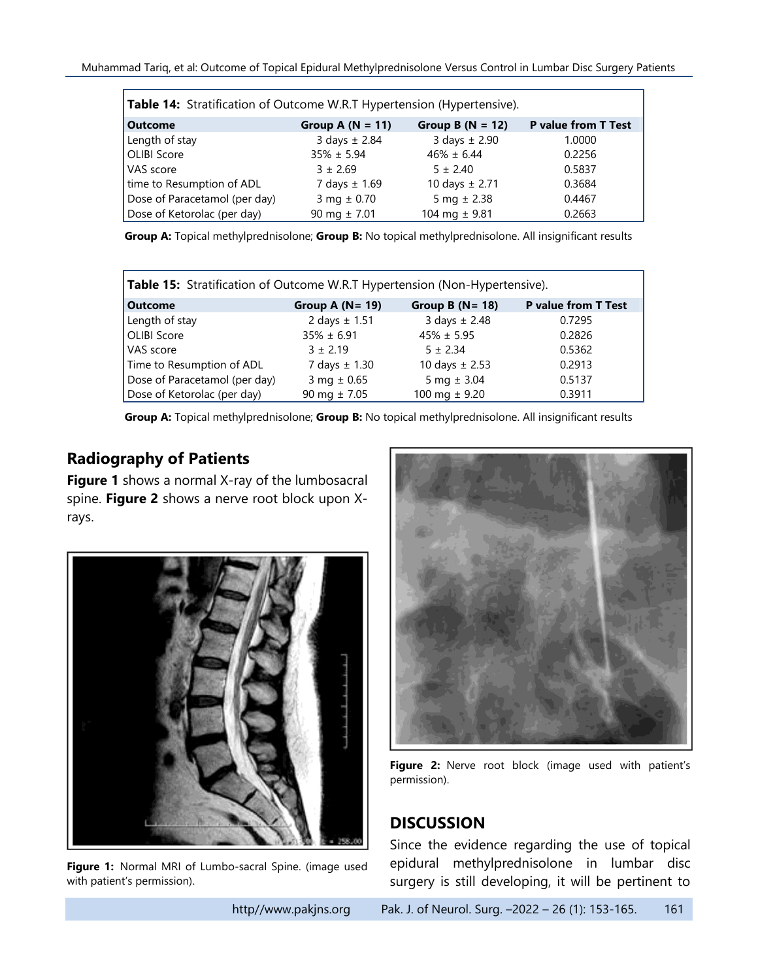| Table 14: Stratification of Outcome W.R.T Hypertension (Hypertensive). |                    |                    |                            |
|------------------------------------------------------------------------|--------------------|--------------------|----------------------------|
| <b>Outcome</b>                                                         | Group A $(N = 11)$ | Group B $(N = 12)$ | <b>P</b> value from T Test |
| Length of stay                                                         | 3 days $\pm 2.84$  | 3 days $\pm$ 2.90  | 1.0000                     |
| OLIBI Score                                                            | $35\% \pm 5.94$    | $46\% \pm 6.44$    | 0.2256                     |
| VAS score                                                              | $3 + 2.69$         | $5 \pm 2.40$       | 0.5837                     |
| time to Resumption of ADL                                              | 7 days $\pm$ 1.69  | 10 days $\pm 2.71$ | 0.3684                     |
| Dose of Paracetamol (per day)                                          | $3 mg \pm 0.70$    | 5 mg $\pm 2.38$    | 0.4467                     |
| Dose of Ketorolac (per day)                                            | 90 mg $\pm 7.01$   | 104 mg $\pm$ 9.81  | 0.2663                     |

**Group A:** Topical methylprednisolone; **Group B:** No topical methylprednisolone. All insignificant results

| <b>Table 15:</b> Stratification of Outcome W.R.T Hypertension (Non-Hypertensive). |                    |                     |                     |
|-----------------------------------------------------------------------------------|--------------------|---------------------|---------------------|
| <b>Outcome</b>                                                                    | Group A $(N = 19)$ | Group B $(N = 18)$  | P value from T Test |
| Length of stay                                                                    | 2 days $\pm$ 1.51  | $3$ days $\pm$ 2.48 | 0.7295              |
| <b>OLIBI Score</b>                                                                | $35\% \pm 6.91$    | $45\% \pm 5.95$     | 0.2826              |
| VAS score                                                                         | $3 \pm 2.19$       | $5 \pm 2.34$        | 0.5362              |
| Time to Resumption of ADL                                                         | 7 days $\pm$ 1.30  | 10 days $\pm 2.53$  | 0.2913              |
| Dose of Paracetamol (per day)                                                     | $3 mg \pm 0.65$    | 5 mg $\pm$ 3.04     | 0.5137              |
| Dose of Ketorolac (per day)                                                       | 90 mg $\pm 7.05$   | 100 mg $\pm$ 9.20   | 0.3911              |

**Group A:** Topical methylprednisolone; **Group B:** No topical methylprednisolone. All insignificant results

### **Radiography of Patients**

**Figure 1** shows a normal X-ray of the lumbosacral spine. **Figure 2** shows a nerve root block upon Xrays.



**Figure 1:** Normal MRI of Lumbo-sacral Spine. (image used with patient's permission).



Figure 2: Nerve root block (image used with patient's permission).

### **DISCUSSION**

Since the evidence regarding the use of topical epidural methylprednisolone in lumbar disc surgery is still developing, it will be pertinent to

http//www.pakjns.org Pak. J. of Neurol. Surg. -2022 - 26 (1): 153-165. 161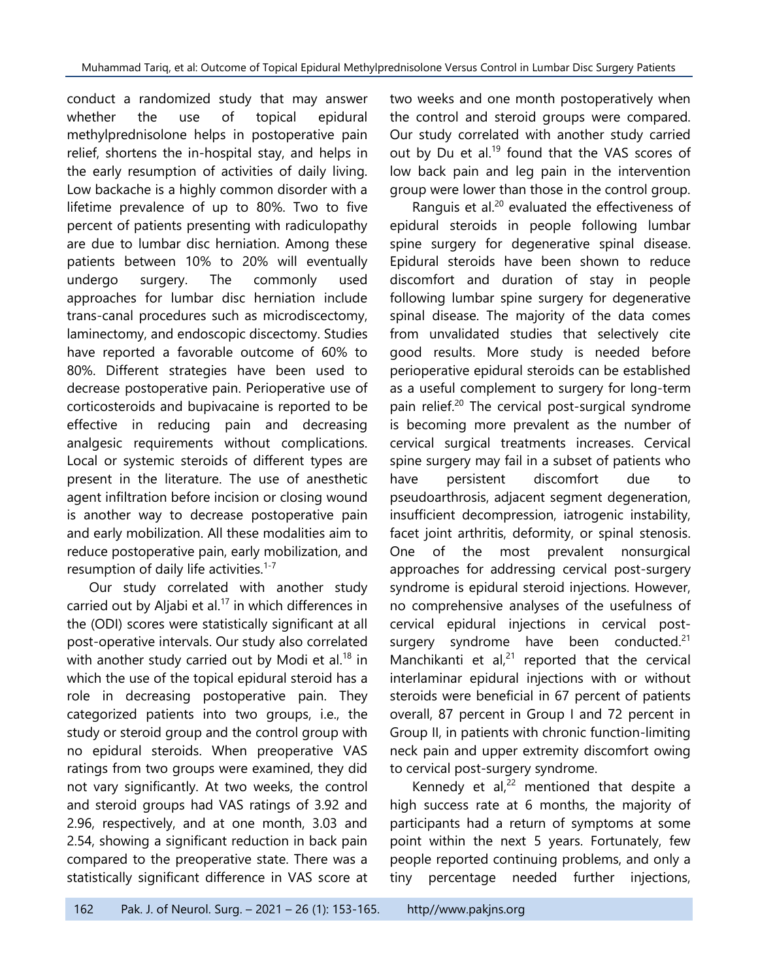conduct a randomized study that may answer whether the use of topical epidural methylprednisolone helps in postoperative pain relief, shortens the in-hospital stay, and helps in the early resumption of activities of daily living. Low backache is a highly common disorder with a lifetime prevalence of up to 80%. Two to five percent of patients presenting with radiculopathy are due to lumbar disc herniation. Among these patients between 10% to 20% will eventually undergo surgery. The commonly used approaches for lumbar disc herniation include trans-canal procedures such as microdiscectomy, laminectomy, and endoscopic discectomy. Studies have reported a favorable outcome of 60% to 80%. Different strategies have been used to decrease postoperative pain. Perioperative use of corticosteroids and bupivacaine is reported to be effective in reducing pain and decreasing analgesic requirements without complications. Local or systemic steroids of different types are present in the literature. The use of anesthetic agent infiltration before incision or closing wound is another way to decrease postoperative pain and early mobilization. All these modalities aim to reduce postoperative pain, early mobilization, and resumption of daily life activities.<sup>1-7</sup>

Our study correlated with another study carried out by Aljabi et al. <sup>17</sup> in which differences in the (ODI) scores were statistically significant at all post-operative intervals. Our study also correlated with another study carried out by Modi et al.<sup>18</sup> in which the use of the topical epidural steroid has a role in decreasing postoperative pain. They categorized patients into two groups, i.e., the study or steroid group and the control group with no epidural steroids. When preoperative VAS ratings from two groups were examined, they did not vary significantly. At two weeks, the control and steroid groups had VAS ratings of 3.92 and 2.96, respectively, and at one month, 3.03 and 2.54, showing a significant reduction in back pain compared to the preoperative state. There was a statistically significant difference in VAS score at

two weeks and one month postoperatively when the control and steroid groups were compared. Our study correlated with another study carried out by Du et al.<sup>19</sup> found that the VAS scores of low back pain and leg pain in the intervention group were lower than those in the control group.

Ranguis et al. $20$  evaluated the effectiveness of epidural steroids in people following lumbar spine surgery for degenerative spinal disease. Epidural steroids have been shown to reduce discomfort and duration of stay in people following lumbar spine surgery for degenerative spinal disease. The majority of the data comes from unvalidated studies that selectively cite good results. More study is needed before perioperative epidural steroids can be established as a useful complement to surgery for long-term pain relief. <sup>20</sup> The cervical post-surgical syndrome is becoming more prevalent as the number of cervical surgical treatments increases. Cervical spine surgery may fail in a subset of patients who have persistent discomfort due to pseudoarthrosis, adjacent segment degeneration, insufficient decompression, iatrogenic instability, facet joint arthritis, deformity, or spinal stenosis. One of the most prevalent nonsurgical approaches for addressing cervical post-surgery syndrome is epidural steroid injections. However, no comprehensive analyses of the usefulness of cervical epidural injections in cervical postsurgery syndrome have been conducted.<sup>21</sup> Manchikanti et  $al^{21}$  reported that the cervical interlaminar epidural injections with or without steroids were beneficial in 67 percent of patients overall, 87 percent in Group I and 72 percent in Group II, in patients with chronic function-limiting neck pain and upper extremity discomfort owing to cervical post-surgery syndrome.

Kennedy et al, $^{22}$  mentioned that despite a high success rate at 6 months, the majority of participants had a return of symptoms at some point within the next 5 years. Fortunately, few people reported continuing problems, and only a tiny percentage needed further injections,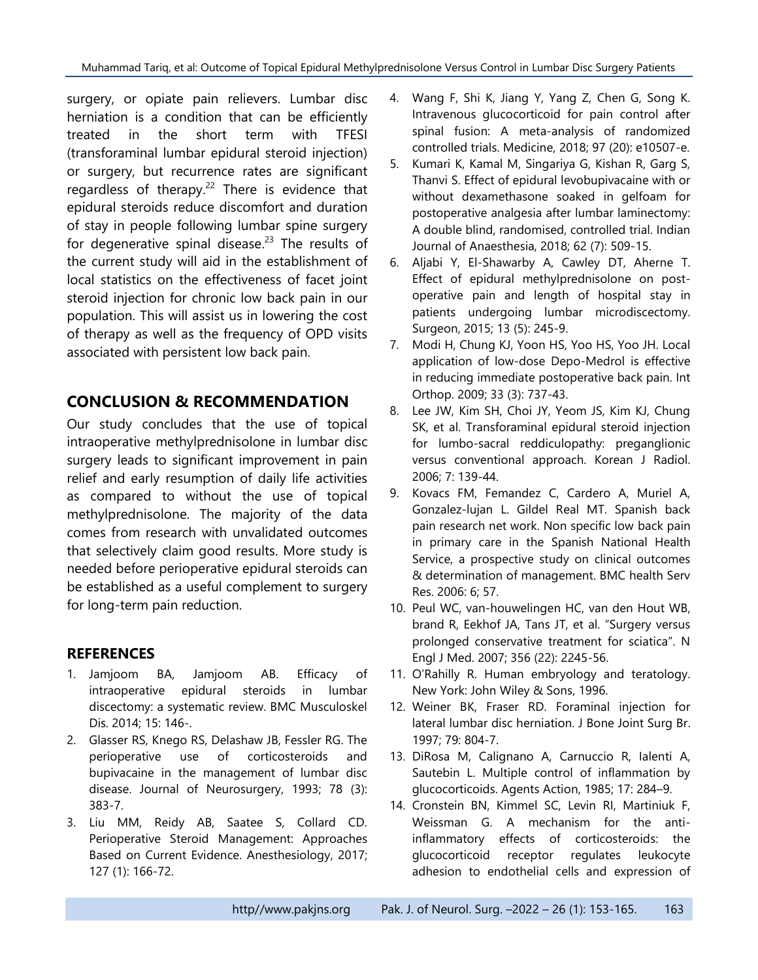surgery, or opiate pain relievers. Lumbar disc herniation is a condition that can be efficiently treated in the short term with TFESI (transforaminal lumbar epidural steroid injection) or surgery, but recurrence rates are significant regardless of therapy.<sup>22</sup> There is evidence that epidural steroids reduce discomfort and duration of stay in people following lumbar spine surgery for degenerative spinal disease.<sup>23</sup> The results of the current study will aid in the establishment of local statistics on the effectiveness of facet joint steroid injection for chronic low back pain in our population. This will assist us in lowering the cost of therapy as well as the frequency of OPD visits associated with persistent low back pain.

## **CONCLUSION & RECOMMENDATION**

Our study concludes that the use of topical intraoperative methylprednisolone in lumbar disc surgery leads to significant improvement in pain relief and early resumption of daily life activities as compared to without the use of topical methylprednisolone. The majority of the data comes from research with unvalidated outcomes that selectively claim good results. More study is needed before perioperative epidural steroids can be established as a useful complement to surgery for long-term pain reduction.

### **REFERENCES**

- 1. Jamjoom BA, Jamjoom AB. Efficacy of intraoperative epidural steroids in lumbar discectomy: a systematic review. BMC Musculoskel Dis. 2014; 15: 146-.
- 2. Glasser RS, Knego RS, Delashaw JB, Fessler RG. The perioperative use of corticosteroids and bupivacaine in the management of lumbar disc disease. Journal of Neurosurgery, 1993; 78 (3): 383-7.
- 3. Liu MM, Reidy AB, Saatee S, Collard CD. Perioperative Steroid Management: Approaches Based on Current Evidence. Anesthesiology, 2017; 127 (1): 166-72.
- 4. Wang F, Shi K, Jiang Y, Yang Z, Chen G, Song K. Intravenous glucocorticoid for pain control after spinal fusion: A meta-analysis of randomized controlled trials. Medicine, 2018; 97 (20): e10507-e.
- 5. Kumari K, Kamal M, Singariya G, Kishan R, Garg S, Thanvi S. Effect of epidural levobupivacaine with or without dexamethasone soaked in gelfoam for postoperative analgesia after lumbar laminectomy: A double blind, randomised, controlled trial. Indian Journal of Anaesthesia, 2018; 62 (7): 509-15.
- 6. Aljabi Y, El-Shawarby A, Cawley DT, Aherne T. Effect of epidural methylprednisolone on postoperative pain and length of hospital stay in patients undergoing lumbar microdiscectomy. Surgeon, 2015; 13 (5): 245-9.
- 7. Modi H, Chung KJ, Yoon HS, Yoo HS, Yoo JH. Local application of low-dose Depo-Medrol is effective in reducing immediate postoperative back pain. Int Orthop. 2009; 33 (3): 737-43.
- 8. Lee JW, Kim SH, Choi JY, Yeom JS, Kim KJ, Chung SK, et al. Transforaminal epidural steroid injection for lumbo-sacral reddiculopathy: preganglionic versus conventional approach. Korean J Radiol. 2006; 7: 139-44.
- 9. Kovacs FM, Femandez C, Cardero A, Muriel A, Gonzalez-lujan L. Gildel Real MT. Spanish back pain research net work. Non specific low back pain in primary care in the Spanish National Health Service, a prospective study on clinical outcomes & determination of management. BMC health Serv Res. 2006: 6; 57.
- 10. Peul WC, van-houwelingen HC, van den Hout WB, brand R, Eekhof JA, Tans JT, et al. "Surgery versus prolonged conservative treatment for sciatica". N Engl J Med. 2007; 356 (22): 2245-56.
- 11. O'Rahilly R. Human embryology and teratology. New York: John Wiley & Sons, 1996.
- 12. Weiner BK, Fraser RD. Foraminal injection for lateral lumbar disc herniation. J Bone Joint Surg Br. 1997; 79: 804-7.
- 13. DiRosa M, Calignano A, Carnuccio R, Ialenti A, Sautebin L. Multiple control of inflammation by glucocorticoids. Agents Action, 1985; 17: 284–9.
- 14. Cronstein BN, Kimmel SC, Levin RI, Martiniuk F, Weissman G. A mechanism for the antiinflammatory effects of corticosteroids: the glucocorticoid receptor regulates leukocyte adhesion to endothelial cells and expression of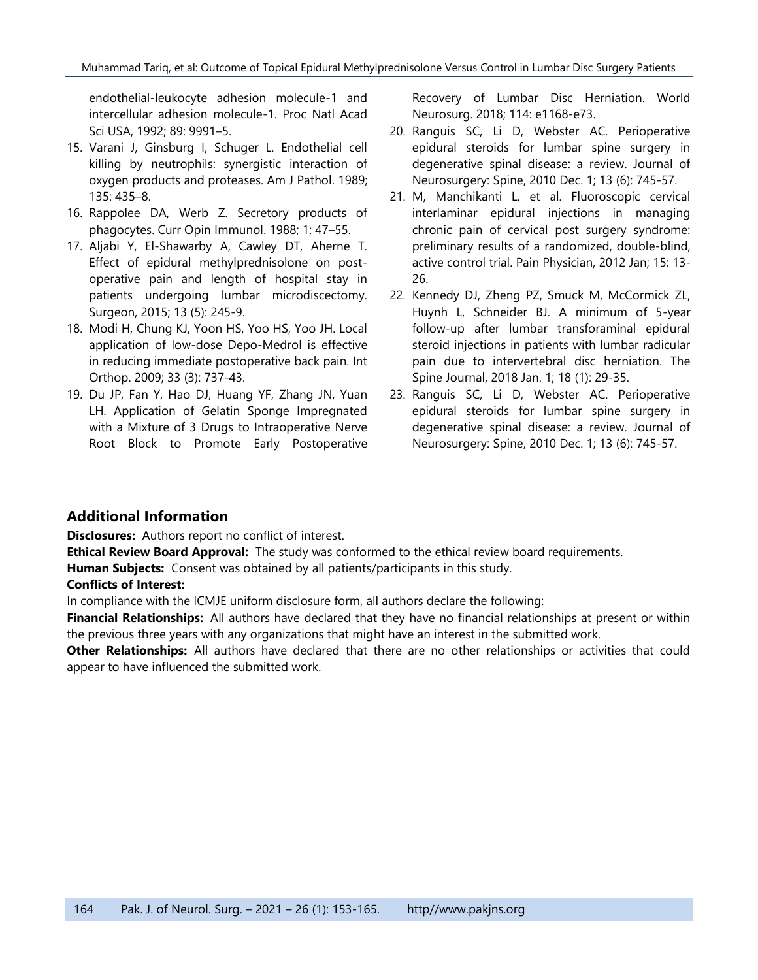endothelial-leukocyte adhesion molecule-1 and intercellular adhesion molecule-1. Proc Natl Acad Sci USA, 1992; 89: 9991–5.

- 15. Varani J, Ginsburg I, Schuger L. Endothelial cell killing by neutrophils: synergistic interaction of oxygen products and proteases. Am J Pathol. 1989; 135: 435–8.
- 16. Rappolee DA, Werb Z. Secretory products of phagocytes. Curr Opin Immunol. 1988; 1: 47–55.
- 17. Aljabi Y, El-Shawarby A, Cawley DT, Aherne T. Effect of epidural methylprednisolone on postoperative pain and length of hospital stay in patients undergoing lumbar microdiscectomy. Surgeon, 2015; 13 (5): 245-9.
- 18. Modi H, Chung KJ, Yoon HS, Yoo HS, Yoo JH. Local application of low-dose Depo-Medrol is effective in reducing immediate postoperative back pain. Int Orthop. 2009; 33 (3): 737-43.
- 19. Du JP, Fan Y, Hao DJ, Huang YF, Zhang JN, Yuan LH. Application of Gelatin Sponge Impregnated with a Mixture of 3 Drugs to Intraoperative Nerve Root Block to Promote Early Postoperative

Recovery of Lumbar Disc Herniation. World Neurosurg. 2018; 114: e1168-e73.

- 20. Ranguis SC, Li D, Webster AC. Perioperative epidural steroids for lumbar spine surgery in degenerative spinal disease: a review. Journal of Neurosurgery: Spine, 2010 Dec. 1; 13 (6): 745-57.
- 21. M, Manchikanti L. et al. Fluoroscopic cervical interlaminar epidural injections in managing chronic pain of cervical post surgery syndrome: preliminary results of a randomized, double-blind, active control trial. Pain Physician, 2012 Jan; 15: 13- 26.
- 22. Kennedy DJ, Zheng PZ, Smuck M, McCormick ZL, Huynh L, Schneider BJ. A minimum of 5-year follow-up after lumbar transforaminal epidural steroid injections in patients with lumbar radicular pain due to intervertebral disc herniation. The Spine Journal, 2018 Jan. 1; 18 (1): 29-35.
- 23. Ranguis SC, Li D, Webster AC. Perioperative epidural steroids for lumbar spine surgery in degenerative spinal disease: a review. Journal of Neurosurgery: Spine, 2010 Dec. 1; 13 (6): 745-57.

#### **Additional Information**

**Disclosures:** Authors report no conflict of interest.

**Ethical Review Board Approval:** The study was conformed to the ethical review board requirements.

**Human Subjects:** Consent was obtained by all patients/participants in this study.

#### **Conflicts of Interest:**

In compliance with the ICMJE uniform disclosure form, all authors declare the following:

**Financial Relationships:** All authors have declared that they have no financial relationships at present or within the previous three years with any organizations that might have an interest in the submitted work.

**Other Relationships:** All authors have declared that there are no other relationships or activities that could appear to have influenced the submitted work.